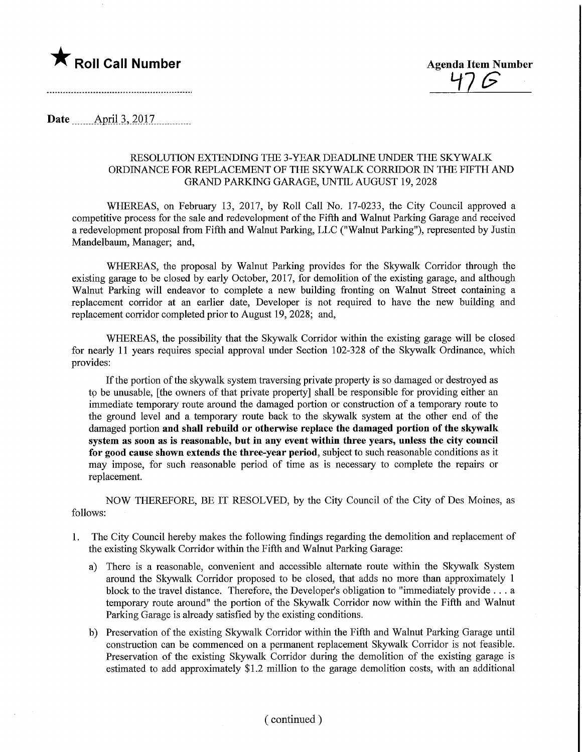

 $47G$ 

Date ........Apnl.3,.2017,

#### RESOLUTION EXTENDING THE 3-YEAR DEADLINE UNDER THE SKYWALK ORDINANCE FOR REPLACEMENT OF THE SKYWALK CORRIDOR IN THE FIFTH AND GRAND PARKING GARAGE, UNTIL AUGUST 19,2028

WHEREAS, on February 13, 2017, by Roll Call No. 17-0233, the City Council approved a competitive process for the sale and redevelopment of the Fifth and Walnut Parking Garage and received a redevelopment proposal from Fifth and Walnut Parking, LLC ("Walnut Parking"), represented by Justin Mandelbaum, Manager; and,

WHEREAS, the proposal by Walnut Parking provides for the Skywalk Corridor through the existing garage to be closed by early October, 2017, for demolition of the existing garage, and although Walnut Parking will endeavor to complete a new building fronting on Walnut Street containing a replacement corridor at an earlier date. Developer is not required to have the new building and replacement corridor completed prior to August 19, 2028; and,

WHEREAS, the possibility that the Skywalk Corridor within the existing garage will be closed for nearly 11 years requires special approval under Section 102-328 of the Skywalk Ordinance, which provides:

If the portion of the skywalk system traversing private property is so damaged or destroyed as to be unusable, [the owners of that private property] shall be responsible for providing either an immediate temporary route around the damaged portion or construction of a temporary route to the ground level and a temporary route back to the skywalk system at the other end of the damaged portion and shall rebuild or otherwise replace the damaged portion of the skywalk system as soon as is reasonable, but in any event within three years, unless the city council for good cause shown extends the three-year period, subject to such reasonable conditions as it may impose, for such reasonable period of time as is necessary to complete the repairs or replacement.

NOW THEREFORE, BE IT RESOLVED, by the City Council of the City of Des Moines, as follows:

- 1. The City Council hereby makes the following findings regarding the demolition and replacement of the existing Skywalk Corridor within the Fifth and Walnut Parking Garage:
	- a) There is a reasonable, convenient and accessible alternate route within the Skywalk System around the Skywalk Corridor proposed to be closed, that adds no more than approximately 1 block to the travel distance. Therefore, the Developer's obligation to "immediately provide ... a temporary route around" the portion of the Skywalk Corridor now within the Fifth and Walnut Parking Garage is already satisfied by the existing conditions.
	- b) Preservation of the existing Skywalk Corridor within the Fifth and Walnut Parking Garage until construction can be commenced on a permanent replacement Skywalk Corridor is not feasible. Preservation of the existing Skywalk Corridor during the demolition of the existing garage is estimated to add approximately \$1.2 million to the garage demolition costs, with an additional

## ( continued )